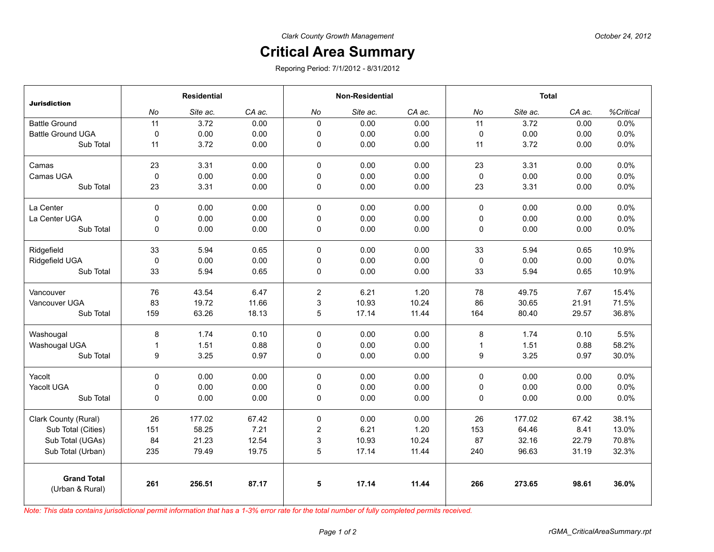## **Critical Area Summary**

Reporing Period: 7/1/2012 - 8/31/2012

| <b>Jurisdiction</b>                   | <b>Residential</b> |          |        | <b>Non-Residential</b> |          |        | <b>Total</b> |          |        |           |
|---------------------------------------|--------------------|----------|--------|------------------------|----------|--------|--------------|----------|--------|-----------|
|                                       | No                 | Site ac. | CA ac. | No                     | Site ac. | CA ac. | No           | Site ac. | CA ac. | %Critical |
| <b>Battle Ground</b>                  | 11                 | 3.72     | 0.00   | $\mathbf{0}$           | 0.00     | 0.00   | 11           | 3.72     | 0.00   | 0.0%      |
| <b>Battle Ground UGA</b>              | $\mathbf 0$        | 0.00     | 0.00   | $\mathbf 0$            | 0.00     | 0.00   | 0            | 0.00     | 0.00   | 0.0%      |
| Sub Total                             | 11                 | 3.72     | 0.00   | $\mathbf 0$            | 0.00     | 0.00   | 11           | 3.72     | 0.00   | 0.0%      |
| Camas                                 | 23                 | 3.31     | 0.00   | $\mathbf 0$            | 0.00     | 0.00   | 23           | 3.31     | 0.00   | 0.0%      |
| Camas UGA                             | $\mathbf 0$        | 0.00     | 0.00   | 0                      | 0.00     | 0.00   | 0            | 0.00     | 0.00   | 0.0%      |
| Sub Total                             | 23                 | 3.31     | 0.00   | 0                      | 0.00     | 0.00   | 23           | 3.31     | 0.00   | 0.0%      |
| La Center                             | $\Omega$           | 0.00     | 0.00   | $\mathbf 0$            | 0.00     | 0.00   | $\mathbf 0$  | 0.00     | 0.00   | 0.0%      |
| La Center UGA                         | 0                  | 0.00     | 0.00   | $\mathbf 0$            | 0.00     | 0.00   | 0            | 0.00     | 0.00   | 0.0%      |
| Sub Total                             | 0                  | 0.00     | 0.00   | 0                      | 0.00     | 0.00   | 0            | 0.00     | 0.00   | 0.0%      |
| Ridgefield                            | 33                 | 5.94     | 0.65   | $\mathbf 0$            | 0.00     | 0.00   | 33           | 5.94     | 0.65   | 10.9%     |
| Ridgefield UGA                        | $\mathbf 0$        | 0.00     | 0.00   | $\mathbf 0$            | 0.00     | 0.00   | 0            | 0.00     | 0.00   | 0.0%      |
| Sub Total                             | 33                 | 5.94     | 0.65   | 0                      | 0.00     | 0.00   | 33           | 5.94     | 0.65   | 10.9%     |
| Vancouver                             | 76                 | 43.54    | 6.47   | $\overline{c}$         | 6.21     | 1.20   | 78           | 49.75    | 7.67   | 15.4%     |
| Vancouver UGA                         | 83                 | 19.72    | 11.66  | 3                      | 10.93    | 10.24  | 86           | 30.65    | 21.91  | 71.5%     |
| Sub Total                             | 159                | 63.26    | 18.13  | 5                      | 17.14    | 11.44  | 164          | 80.40    | 29.57  | 36.8%     |
| Washougal                             | 8                  | 1.74     | 0.10   | 0                      | 0.00     | 0.00   | 8            | 1.74     | 0.10   | 5.5%      |
| Washougal UGA                         | $\overline{1}$     | 1.51     | 0.88   | $\mathbf 0$            | 0.00     | 0.00   | $\mathbf{1}$ | 1.51     | 0.88   | 58.2%     |
| Sub Total                             | 9                  | 3.25     | 0.97   | 0                      | 0.00     | 0.00   | 9            | 3.25     | 0.97   | 30.0%     |
| Yacolt                                | 0                  | 0.00     | 0.00   | $\mathbf 0$            | 0.00     | 0.00   | 0            | 0.00     | 0.00   | 0.0%      |
| Yacolt UGA                            | 0                  | 0.00     | 0.00   | 0                      | 0.00     | 0.00   | 0            | 0.00     | 0.00   | 0.0%      |
| Sub Total                             | 0                  | 0.00     | 0.00   | 0                      | 0.00     | 0.00   | 0            | 0.00     | 0.00   | 0.0%      |
| Clark County (Rural)                  | 26                 | 177.02   | 67.42  | $\mathbf 0$            | 0.00     | 0.00   | 26           | 177.02   | 67.42  | 38.1%     |
| Sub Total (Cities)                    | 151                | 58.25    | 7.21   | $\overline{c}$         | 6.21     | 1.20   | 153          | 64.46    | 8.41   | 13.0%     |
| Sub Total (UGAs)                      | 84                 | 21.23    | 12.54  | 3                      | 10.93    | 10.24  | 87           | 32.16    | 22.79  | 70.8%     |
| Sub Total (Urban)                     | 235                | 79.49    | 19.75  | 5                      | 17.14    | 11.44  | 240          | 96.63    | 31.19  | 32.3%     |
| <b>Grand Total</b><br>(Urban & Rural) | 261                | 256.51   | 87.17  | 5                      | 17.14    | 11.44  | 266          | 273.65   | 98.61  | 36.0%     |

*Note: This data contains jurisdictional permit information that has a 1-3% error rate for the total number of fully completed permits received.*